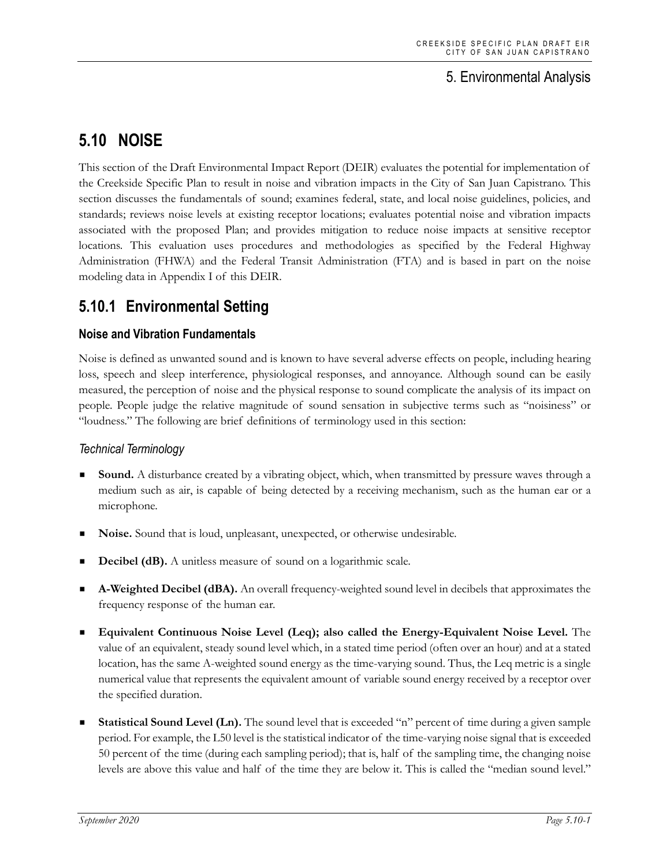# **5.10 NOISE**

This section of the Draft Environmental Impact Report (DEIR) evaluates the potential for implementation of the Creekside Specific Plan to result in noise and vibration impacts in the City of San Juan Capistrano. This section discusses the fundamentals of sound; examines federal, state, and local noise guidelines, policies, and standards; reviews noise levels at existing receptor locations; evaluates potential noise and vibration impacts associated with the proposed Plan; and provides mitigation to reduce noise impacts at sensitive receptor locations. This evaluation uses procedures and methodologies as specified by the Federal Highway Administration (FHWA) and the Federal Transit Administration (FTA) and is based in part on the noise modeling data in Appendix I of this DEIR.

## **5.10.1 Environmental Setting**

### **Noise and Vibration Fundamentals**

Noise is defined as unwanted sound and is known to have several adverse effects on people, including hearing loss, speech and sleep interference, physiological responses, and annoyance. Although sound can be easily measured, the perception of noise and the physical response to sound complicate the analysis of its impact on people. People judge the relative magnitude of sound sensation in subjective terms such as "noisiness" or "loudness." The following are brief definitions of terminology used in this section:

#### *Technical Terminology*

- **Sound.** A disturbance created by a vibrating object, which, when transmitted by pressure waves through a medium such as air, is capable of being detected by a receiving mechanism, such as the human ear or a microphone.
- **Noise.** Sound that is loud, unpleasant, unexpected, or otherwise undesirable.
- **Decibel (dB).** A unitless measure of sound on a logarithmic scale.
- **A-Weighted Decibel (dBA).** An overall frequency-weighted sound level in decibels that approximates the frequency response of the human ear.
- **Equivalent Continuous Noise Level (Leq); also called the Energy-Equivalent Noise Level.** The value of an equivalent, steady sound level which, in a stated time period (often over an hour) and at a stated location, has the same A-weighted sound energy as the time-varying sound. Thus, the Leq metric is a single numerical value that represents the equivalent amount of variable sound energy received by a receptor over the specified duration.
- **Statistical Sound Level (Ln).** The sound level that is exceeded "n" percent of time during a given sample period. For example, the L50 level is the statistical indicator of the time-varying noise signal that is exceeded 50 percent of the time (during each sampling period); that is, half of the sampling time, the changing noise levels are above this value and half of the time they are below it. This is called the "median sound level."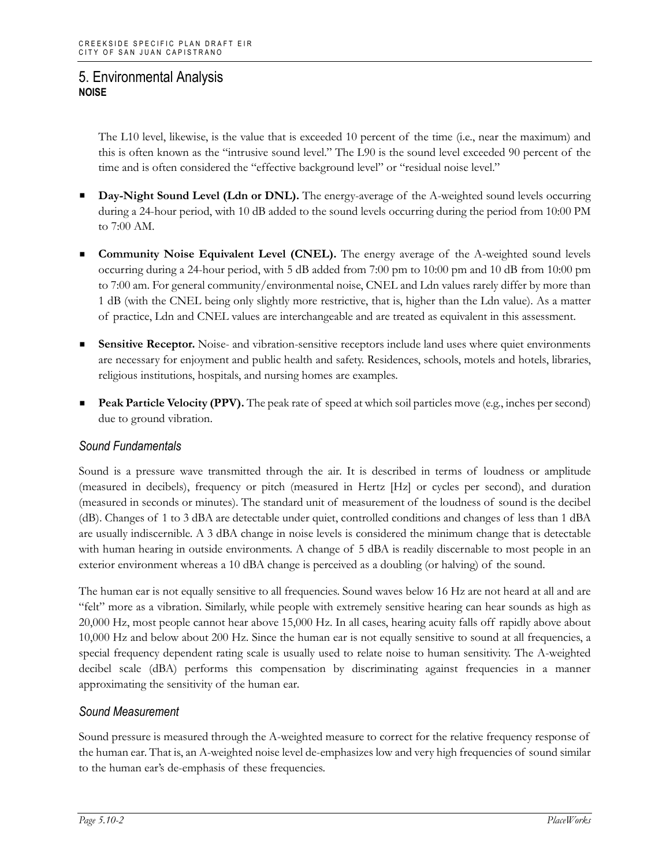The L10 level, likewise, is the value that is exceeded 10 percent of the time (i.e., near the maximum) and this is often known as the "intrusive sound level." The L90 is the sound level exceeded 90 percent of the time and is often considered the "effective background level" or "residual noise level."

- **Day-Night Sound Level (Ldn or DNL).** The energy-average of the A-weighted sound levels occurring during a 24-hour period, with 10 dB added to the sound levels occurring during the period from 10:00 PM to 7:00 AM.
- **Community Noise Equivalent Level (CNEL).** The energy average of the A-weighted sound levels occurring during a 24-hour period, with 5 dB added from 7:00 pm to 10:00 pm and 10 dB from 10:00 pm to 7:00 am. For general community/environmental noise, CNEL and Ldn values rarely differ by more than 1 dB (with the CNEL being only slightly more restrictive, that is, higher than the Ldn value). As a matter of practice, Ldn and CNEL values are interchangeable and are treated as equivalent in this assessment.
- **Sensitive Receptor.** Noise- and vibration-sensitive receptors include land uses where quiet environments are necessary for enjoyment and public health and safety. Residences, schools, motels and hotels, libraries, religious institutions, hospitals, and nursing homes are examples.
- **Peak Particle Velocity (PPV).** The peak rate of speed at which soil particles move (e.g., inches per second) due to ground vibration.

#### *Sound Fundamentals*

Sound is a pressure wave transmitted through the air. It is described in terms of loudness or amplitude (measured in decibels), frequency or pitch (measured in Hertz [Hz] or cycles per second), and duration (measured in seconds or minutes). The standard unit of measurement of the loudness of sound is the decibel (dB). Changes of 1 to 3 dBA are detectable under quiet, controlled conditions and changes of less than 1 dBA are usually indiscernible. A 3 dBA change in noise levels is considered the minimum change that is detectable with human hearing in outside environments. A change of 5 dBA is readily discernable to most people in an exterior environment whereas a 10 dBA change is perceived as a doubling (or halving) of the sound.

The human ear is not equally sensitive to all frequencies. Sound waves below 16 Hz are not heard at all and are "felt" more as a vibration. Similarly, while people with extremely sensitive hearing can hear sounds as high as 20,000 Hz, most people cannot hear above 15,000 Hz. In all cases, hearing acuity falls off rapidly above about 10,000 Hz and below about 200 Hz. Since the human ear is not equally sensitive to sound at all frequencies, a special frequency dependent rating scale is usually used to relate noise to human sensitivity. The A-weighted decibel scale (dBA) performs this compensation by discriminating against frequencies in a manner approximating the sensitivity of the human ear.

#### *Sound Measurement*

Sound pressure is measured through the A-weighted measure to correct for the relative frequency response of the human ear. That is, an A-weighted noise level de-emphasizes low and very high frequencies of sound similar to the human ear's de-emphasis of these frequencies.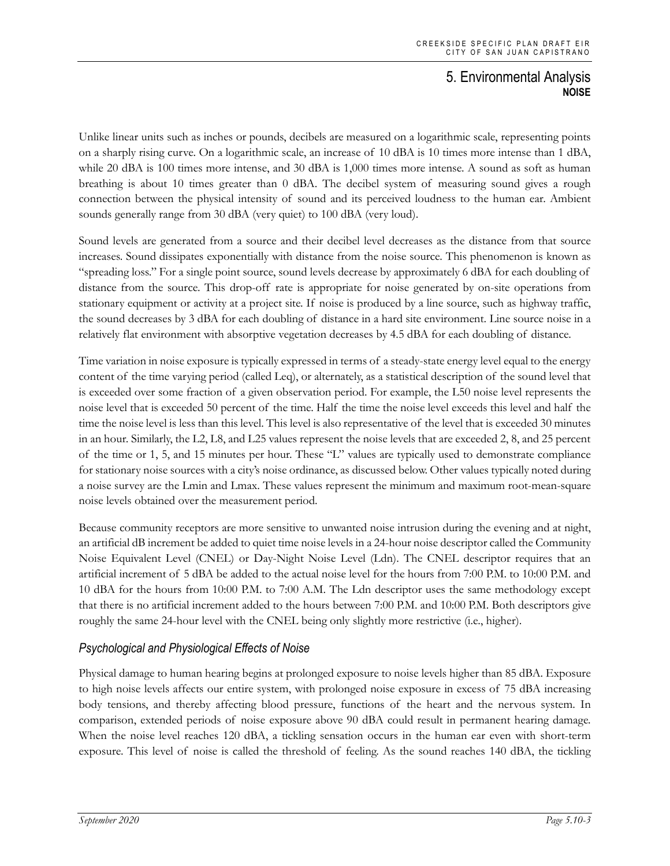Unlike linear units such as inches or pounds, decibels are measured on a logarithmic scale, representing points on a sharply rising curve. On a logarithmic scale, an increase of 10 dBA is 10 times more intense than 1 dBA, while 20 dBA is 100 times more intense, and 30 dBA is 1,000 times more intense. A sound as soft as human breathing is about 10 times greater than 0 dBA. The decibel system of measuring sound gives a rough connection between the physical intensity of sound and its perceived loudness to the human ear. Ambient sounds generally range from 30 dBA (very quiet) to 100 dBA (very loud).

Sound levels are generated from a source and their decibel level decreases as the distance from that source increases. Sound dissipates exponentially with distance from the noise source. This phenomenon is known as "spreading loss." For a single point source, sound levels decrease by approximately 6 dBA for each doubling of distance from the source. This drop-off rate is appropriate for noise generated by on-site operations from stationary equipment or activity at a project site. If noise is produced by a line source, such as highway traffic, the sound decreases by 3 dBA for each doubling of distance in a hard site environment. Line source noise in a relatively flat environment with absorptive vegetation decreases by 4.5 dBA for each doubling of distance.

Time variation in noise exposure is typically expressed in terms of a steady-state energy level equal to the energy content of the time varying period (called Leq), or alternately, as a statistical description of the sound level that is exceeded over some fraction of a given observation period. For example, the L50 noise level represents the noise level that is exceeded 50 percent of the time. Half the time the noise level exceeds this level and half the time the noise level is less than this level. This level is also representative of the level that is exceeded 30 minutes in an hour. Similarly, the L2, L8, and L25 values represent the noise levels that are exceeded 2, 8, and 25 percent of the time or 1, 5, and 15 minutes per hour. These "L" values are typically used to demonstrate compliance for stationary noise sources with a city's noise ordinance, as discussed below. Other values typically noted during a noise survey are the Lmin and Lmax. These values represent the minimum and maximum root-mean-square noise levels obtained over the measurement period.

Because community receptors are more sensitive to unwanted noise intrusion during the evening and at night, an artificial dB increment be added to quiet time noise levels in a 24-hour noise descriptor called the Community Noise Equivalent Level (CNEL) or Day-Night Noise Level (Ldn). The CNEL descriptor requires that an artificial increment of 5 dBA be added to the actual noise level for the hours from 7:00 P.M. to 10:00 P.M. and 10 dBA for the hours from 10:00 P.M. to 7:00 A.M. The Ldn descriptor uses the same methodology except that there is no artificial increment added to the hours between 7:00 P.M. and 10:00 P.M. Both descriptors give roughly the same 24-hour level with the CNEL being only slightly more restrictive (i.e., higher).

#### *Psychological and Physiological Effects of Noise*

Physical damage to human hearing begins at prolonged exposure to noise levels higher than 85 dBA. Exposure to high noise levels affects our entire system, with prolonged noise exposure in excess of 75 dBA increasing body tensions, and thereby affecting blood pressure, functions of the heart and the nervous system. In comparison, extended periods of noise exposure above 90 dBA could result in permanent hearing damage. When the noise level reaches 120 dBA, a tickling sensation occurs in the human ear even with short-term exposure. This level of noise is called the threshold of feeling. As the sound reaches 140 dBA, the tickling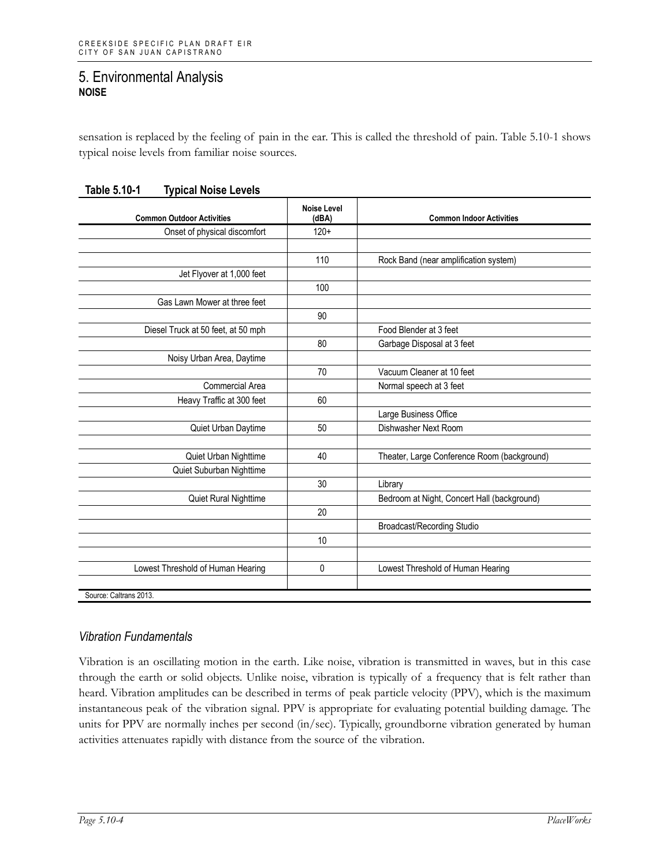sensation is replaced by the feeling of pain in the ear. This is called the threshold of pain. Table 5.10-1 shows typical noise levels from familiar noise sources.

| Table 5.10-1 | <b>Typical Noise Levels</b> |  |
|--------------|-----------------------------|--|
|              |                             |  |

| <b>Common Outdoor Activities</b>   | <b>Noise Level</b><br>(dBA) | <b>Common Indoor Activities</b>             |
|------------------------------------|-----------------------------|---------------------------------------------|
| Onset of physical discomfort       | $120+$                      |                                             |
|                                    |                             |                                             |
|                                    | 110                         | Rock Band (near amplification system)       |
| Jet Flyover at 1,000 feet          |                             |                                             |
|                                    | 100                         |                                             |
| Gas Lawn Mower at three feet       |                             |                                             |
|                                    | 90                          |                                             |
| Diesel Truck at 50 feet, at 50 mph |                             | Food Blender at 3 feet                      |
|                                    | 80                          | Garbage Disposal at 3 feet                  |
| Noisy Urban Area, Daytime          |                             |                                             |
|                                    | 70                          | Vacuum Cleaner at 10 feet                   |
| Commercial Area                    |                             | Normal speech at 3 feet                     |
| Heavy Traffic at 300 feet          | 60                          |                                             |
|                                    |                             | Large Business Office                       |
| Quiet Urban Daytime                | 50                          | Dishwasher Next Room                        |
|                                    |                             |                                             |
| Quiet Urban Nighttime              | 40                          | Theater, Large Conference Room (background) |
| Quiet Suburban Nighttime           |                             |                                             |
|                                    | 30                          | Library                                     |
| Quiet Rural Nighttime              |                             | Bedroom at Night, Concert Hall (background) |
|                                    | 20                          |                                             |
|                                    |                             | <b>Broadcast/Recording Studio</b>           |
|                                    | 10                          |                                             |
| Lowest Threshold of Human Hearing  | 0                           | Lowest Threshold of Human Hearing           |
|                                    |                             |                                             |
| Source: Caltrans 2013.             |                             |                                             |

#### *Vibration Fundamentals*

Vibration is an oscillating motion in the earth. Like noise, vibration is transmitted in waves, but in this case through the earth or solid objects. Unlike noise, vibration is typically of a frequency that is felt rather than heard. Vibration amplitudes can be described in terms of peak particle velocity (PPV), which is the maximum instantaneous peak of the vibration signal. PPV is appropriate for evaluating potential building damage. The units for PPV are normally inches per second (in/sec). Typically, groundborne vibration generated by human activities attenuates rapidly with distance from the source of the vibration.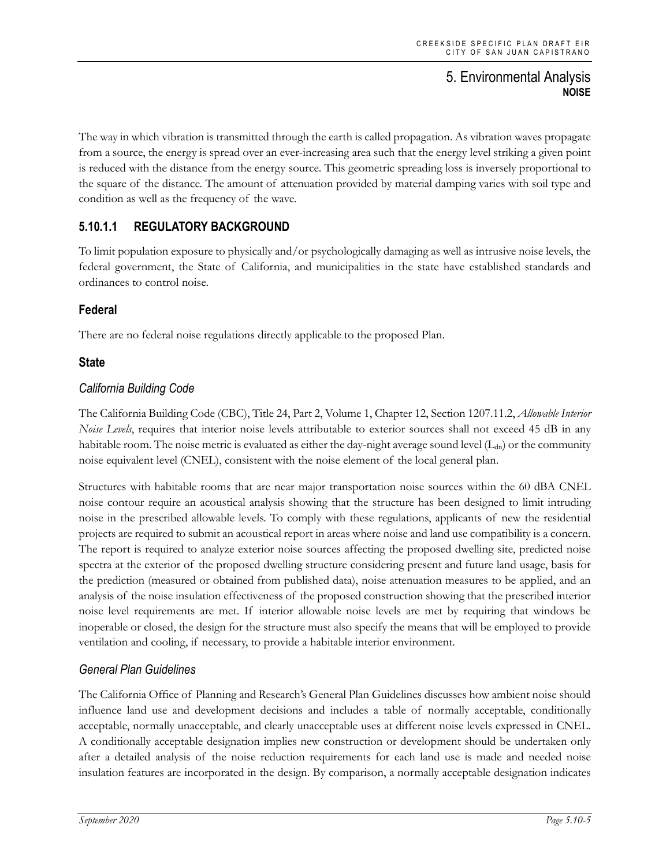The way in which vibration is transmitted through the earth is called propagation. As vibration waves propagate from a source, the energy is spread over an ever-increasing area such that the energy level striking a given point is reduced with the distance from the energy source. This geometric spreading loss is inversely proportional to the square of the distance. The amount of attenuation provided by material damping varies with soil type and condition as well as the frequency of the wave.

## **5.10.1.1 REGULATORY BACKGROUND**

To limit population exposure to physically and/or psychologically damaging as well as intrusive noise levels, the federal government, the State of California, and municipalities in the state have established standards and ordinances to control noise.

### **Federal**

There are no federal noise regulations directly applicable to the proposed Plan.

### **State**

### *California Building Code*

The California Building Code (CBC), Title 24, Part 2, Volume 1, Chapter 12, Section 1207.11.2, *Allowable Interior Noise Levels*, requires that interior noise levels attributable to exterior sources shall not exceed 45 dB in any habitable room. The noise metric is evaluated as either the day-night average sound level  $(L<sub>dn</sub>)$  or the community noise equivalent level (CNEL), consistent with the noise element of the local general plan.

Structures with habitable rooms that are near major transportation noise sources within the 60 dBA CNEL noise contour require an acoustical analysis showing that the structure has been designed to limit intruding noise in the prescribed allowable levels. To comply with these regulations, applicants of new the residential projects are required to submit an acoustical report in areas where noise and land use compatibility is a concern. The report is required to analyze exterior noise sources affecting the proposed dwelling site, predicted noise spectra at the exterior of the proposed dwelling structure considering present and future land usage, basis for the prediction (measured or obtained from published data), noise attenuation measures to be applied, and an analysis of the noise insulation effectiveness of the proposed construction showing that the prescribed interior noise level requirements are met. If interior allowable noise levels are met by requiring that windows be inoperable or closed, the design for the structure must also specify the means that will be employed to provide ventilation and cooling, if necessary, to provide a habitable interior environment.

#### *General Plan Guidelines*

The California Office of Planning and Research's General Plan Guidelines discusses how ambient noise should influence land use and development decisions and includes a table of normally acceptable, conditionally acceptable, normally unacceptable, and clearly unacceptable uses at different noise levels expressed in CNEL. A conditionally acceptable designation implies new construction or development should be undertaken only after a detailed analysis of the noise reduction requirements for each land use is made and needed noise insulation features are incorporated in the design. By comparison, a normally acceptable designation indicates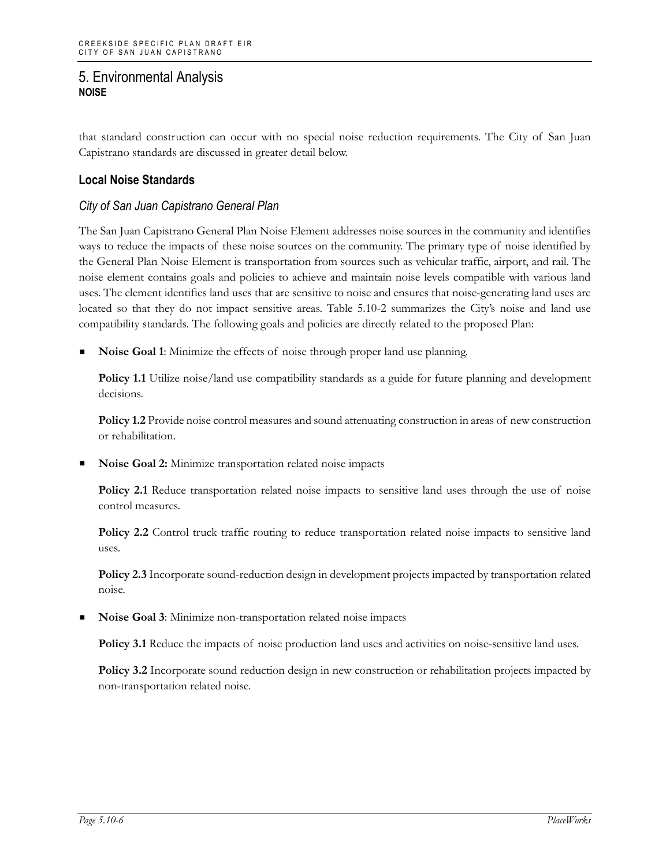that standard construction can occur with no special noise reduction requirements. The City of San Juan Capistrano standards are discussed in greater detail below.

#### **Local Noise Standards**

#### *City of San Juan Capistrano General Plan*

The San Juan Capistrano General Plan Noise Element addresses noise sources in the community and identifies ways to reduce the impacts of these noise sources on the community. The primary type of noise identified by the General Plan Noise Element is transportation from sources such as vehicular traffic, airport, and rail. The noise element contains goals and policies to achieve and maintain noise levels compatible with various land uses. The element identifies land uses that are sensitive to noise and ensures that noise-generating land uses are located so that they do not impact sensitive areas. Table 5.10-2 summarizes the City's noise and land use compatibility standards. The following goals and policies are directly related to the proposed Plan:

**Noise Goal 1**: Minimize the effects of noise through proper land use planning.

Policy 1.1 Utilize noise/land use compatibility standards as a guide for future planning and development decisions.

**Policy 1.2** Provide noise control measures and sound attenuating construction in areas of new construction or rehabilitation.

**Noise Goal 2:** Minimize transportation related noise impacts

**Policy 2.1** Reduce transportation related noise impacts to sensitive land uses through the use of noise control measures.

**Policy 2.2** Control truck traffic routing to reduce transportation related noise impacts to sensitive land uses.

**Policy 2.3** Incorporate sound-reduction design in development projects impacted by transportation related noise.

**Noise Goal 3**: Minimize non-transportation related noise impacts

**Policy 3.1** Reduce the impacts of noise production land uses and activities on noise-sensitive land uses.

**Policy 3.2** Incorporate sound reduction design in new construction or rehabilitation projects impacted by non-transportation related noise.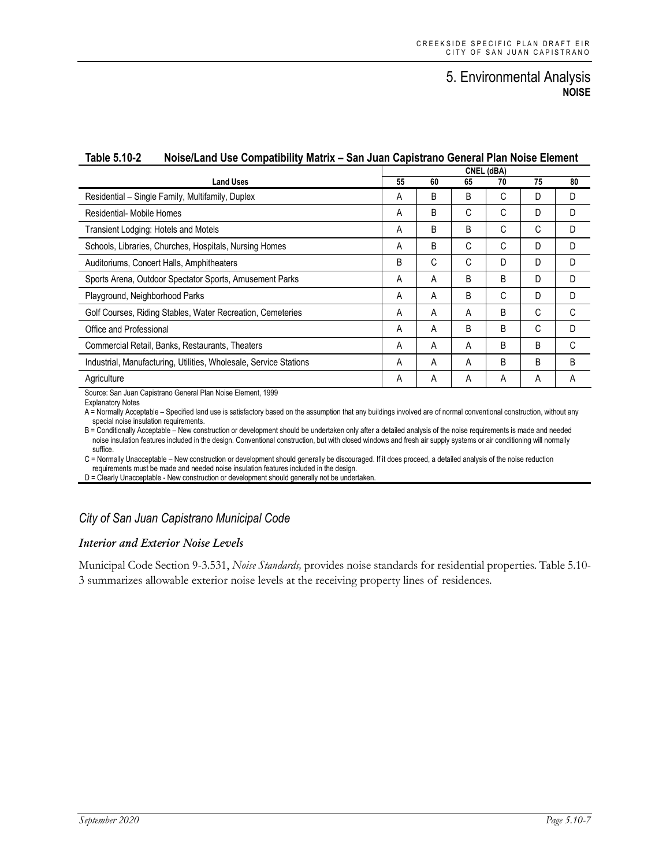| Table 5.10-2 |  | Noise/Land Use Compatibility Matrix – San Juan Capistrano General Plan Noise Element |
|--------------|--|--------------------------------------------------------------------------------------|
|              |  |                                                                                      |

|                                                                   |    |    |    | CNEL (dBA) |    |    |
|-------------------------------------------------------------------|----|----|----|------------|----|----|
| <b>Land Uses</b>                                                  | 55 | 60 | 65 | 70         | 75 | 80 |
| Residential - Single Family, Multifamily, Duplex                  | Α  | B  | B  | C          | D  | D  |
| Residential- Mobile Homes                                         | A  | B  | С  | C          | D  | D  |
| Transient Lodging: Hotels and Motels                              | A  | B  | B  | С          | C  | D  |
| Schools, Libraries, Churches, Hospitals, Nursing Homes            | A  | B  | С  | C          | D  | D  |
| Auditoriums, Concert Halls, Amphitheaters                         | B  | C  | С  | D          | D  | D  |
| Sports Arena, Outdoor Spectator Sports, Amusement Parks           | A  | A  | B  | B          | D  | D  |
| Playground, Neighborhood Parks                                    | A  | A  | B  | С          | D  | D  |
| Golf Courses, Riding Stables, Water Recreation, Cemeteries        | A  | A  | A  | B          | C  | C  |
| Office and Professional                                           | A  | A  | B  | B          | C  | D  |
| Commercial Retail, Banks, Restaurants, Theaters                   | A  | A  | A  | B          | B  | C  |
| Industrial, Manufacturing, Utilities, Wholesale, Service Stations | A  | A  | A  | B          | B  | B  |
| Agriculture                                                       | A  | A  | Α  | A          | A  | A  |

Source: San Juan Capistrano General Plan Noise Element, 1999

Explanatory Notes

A = Normally Acceptable – Specified land use is satisfactory based on the assumption that any buildings involved are of normal conventional construction, without any special noise insulation requirements.

B = Conditionally Acceptable – New construction or development should be undertaken only after a detailed analysis of the noise requirements is made and needed noise insulation features included in the design. Conventional construction, but with closed windows and fresh air supply systems or air conditioning will normally suffice.

C = Normally Unacceptable – New construction or development should generally be discouraged. If it does proceed, a detailed analysis of the noise reduction requirements must be made and needed noise insulation features included in the design.

D = Clearly Unacceptable - New construction or development should generally not be undertaken

## *City of San Juan Capistrano Municipal Code*

#### *Interior and Exterior Noise Levels*

Municipal Code Section 9-3.531, *Noise Standards,* provides noise standards for residential properties. Table 5.10- 3 summarizes allowable exterior noise levels at the receiving property lines of residences.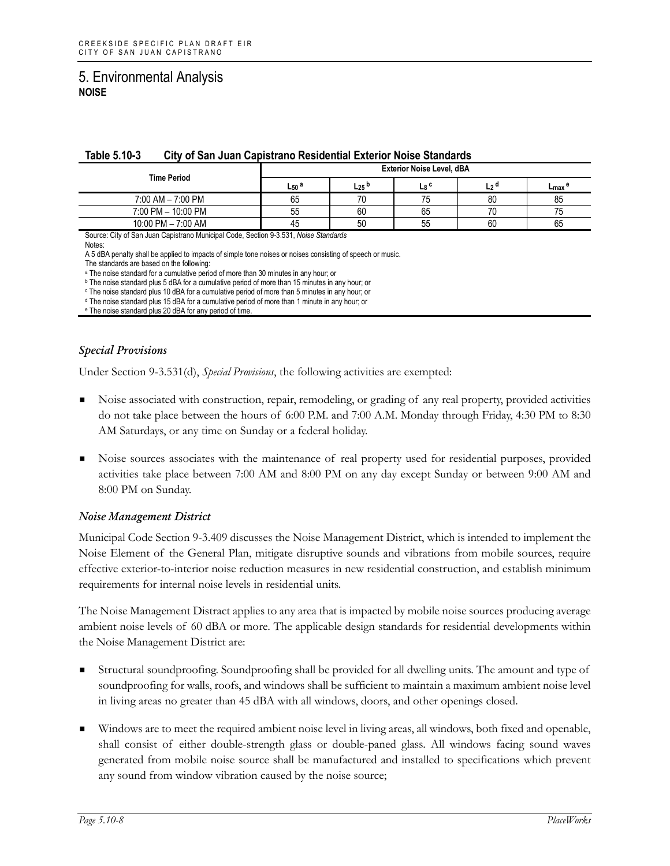| Table 5.10-3 | City of San Juan Capistrano Residential Exterior Noise Standards |
|--------------|------------------------------------------------------------------|
|--------------|------------------------------------------------------------------|

| <b>Time Period</b>     | <b>Exterior Noise Level, dBA</b> |                       |                  |      |                  |  |  |
|------------------------|----------------------------------|-----------------------|------------------|------|------------------|--|--|
|                        | $L_{50}$ <sup>a</sup>            | $L_{25}$ <sub>b</sub> | L <sub>8</sub> c | L2 a | $L_{\text{max}}$ |  |  |
| 7:00 AM - 7:00 PM      | 65                               |                       |                  | 80   | 85               |  |  |
| 7:00 PM - 10:00 PM     | 55                               | 60                    | 65               | 70   |                  |  |  |
| $10:00$ PM $- 7:00$ AM | 45                               | 50                    | 55               | 60   | 65               |  |  |

Source: City of San Juan Capistrano Municipal Code, Section 9-3.531, *Noise Standards*

Notes:

A 5 dBA penalty shall be applied to impacts of simple tone noises or noises consisting of speech or music.

The standards are based on the following:

<sup>a</sup> The noise standard for a cumulative period of more than 30 minutes in any hour; or

**b** The noise standard plus 5 dBA for a cumulative period of more than 15 minutes in any hour; or

<sup>c</sup> The noise standard plus 10 dBA for a cumulative period of more than 5 minutes in any hour; or

<sup>d</sup> The noise standard plus 15 dBA for a cumulative period of more than 1 minute in any hour; or

<sup>e</sup> The noise standard plus 20 dBA for any period of time.

#### *Special Provisions*

Under Section 9-3.531(d), *Special Provisions*, the following activities are exempted:

- Noise associated with construction, repair, remodeling, or grading of any real property, provided activities do not take place between the hours of 6:00 P.M. and 7:00 A.M. Monday through Friday, 4:30 PM to 8:30 AM Saturdays, or any time on Sunday or a federal holiday.
- Noise sources associates with the maintenance of real property used for residential purposes, provided activities take place between 7:00 AM and 8:00 PM on any day except Sunday or between 9:00 AM and 8:00 PM on Sunday.

#### *Noise Management District*

Municipal Code Section 9-3.409 discusses the Noise Management District, which is intended to implement the Noise Element of the General Plan, mitigate disruptive sounds and vibrations from mobile sources, require effective exterior-to-interior noise reduction measures in new residential construction, and establish minimum requirements for internal noise levels in residential units.

The Noise Management Distract applies to any area that is impacted by mobile noise sources producing average ambient noise levels of 60 dBA or more. The applicable design standards for residential developments within the Noise Management District are:

- Structural soundproofing. Soundproofing shall be provided for all dwelling units. The amount and type of soundproofing for walls, roofs, and windows shall be sufficient to maintain a maximum ambient noise level in living areas no greater than 45 dBA with all windows, doors, and other openings closed.
- Windows are to meet the required ambient noise level in living areas, all windows, both fixed and openable, shall consist of either double-strength glass or double-paned glass. All windows facing sound waves generated from mobile noise source shall be manufactured and installed to specifications which prevent any sound from window vibration caused by the noise source;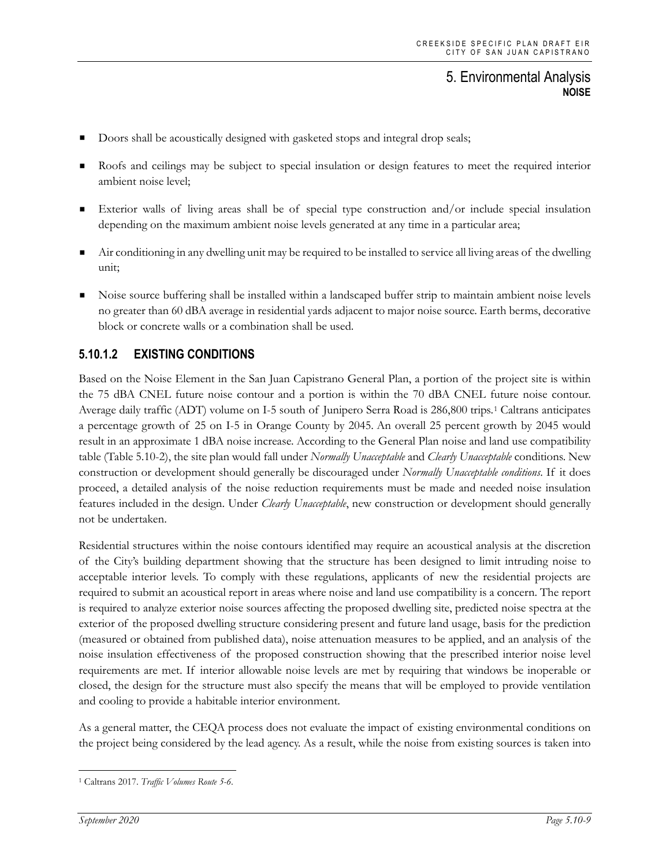- Doors shall be acoustically designed with gasketed stops and integral drop seals;
- Roofs and ceilings may be subject to special insulation or design features to meet the required interior ambient noise level;
- Exterior walls of living areas shall be of special type construction and/or include special insulation depending on the maximum ambient noise levels generated at any time in a particular area;
- Air conditioning in any dwelling unit may be required to be installed to service all living areas of the dwelling unit;
- Noise source buffering shall be installed within a landscaped buffer strip to maintain ambient noise levels no greater than 60 dBA average in residential yards adjacent to major noise source. Earth berms, decorative block or concrete walls or a combination shall be used.

### **5.10.1.2 EXISTING CONDITIONS**

Based on the Noise Element in the San Juan Capistrano General Plan, a portion of the project site is within the 75 dBA CNEL future noise contour and a portion is within the 70 dBA CNEL future noise contour. Average daily traffic (ADT) volume on I-5 south of Junipero Serra Road is 286,800 trips.[1](#page-8-0) Caltrans anticipates a percentage growth of 25 on I-5 in Orange County by 2045. An overall 25 percent growth by 2045 would result in an approximate 1 dBA noise increase. According to the General Plan noise and land use compatibility table (Table 5.10-2), the site plan would fall under *Normally Unacceptable* and *Clearly Unacceptable* conditions. New construction or development should generally be discouraged under *Normally Unacceptable conditions*. If it does proceed, a detailed analysis of the noise reduction requirements must be made and needed noise insulation features included in the design. Under *Clearly Unacceptable*, new construction or development should generally not be undertaken.

Residential structures within the noise contours identified may require an acoustical analysis at the discretion of the City's building department showing that the structure has been designed to limit intruding noise to acceptable interior levels. To comply with these regulations, applicants of new the residential projects are required to submit an acoustical report in areas where noise and land use compatibility is a concern. The report is required to analyze exterior noise sources affecting the proposed dwelling site, predicted noise spectra at the exterior of the proposed dwelling structure considering present and future land usage, basis for the prediction (measured or obtained from published data), noise attenuation measures to be applied, and an analysis of the noise insulation effectiveness of the proposed construction showing that the prescribed interior noise level requirements are met. If interior allowable noise levels are met by requiring that windows be inoperable or closed, the design for the structure must also specify the means that will be employed to provide ventilation and cooling to provide a habitable interior environment.

As a general matter, the CEQA process does not evaluate the impact of existing environmental conditions on the project being considered by the lead agency. As a result, while the noise from existing sources is taken into

<span id="page-8-0"></span><sup>1</sup> Caltrans 2017. *Traffic Volumes Route 5-6*.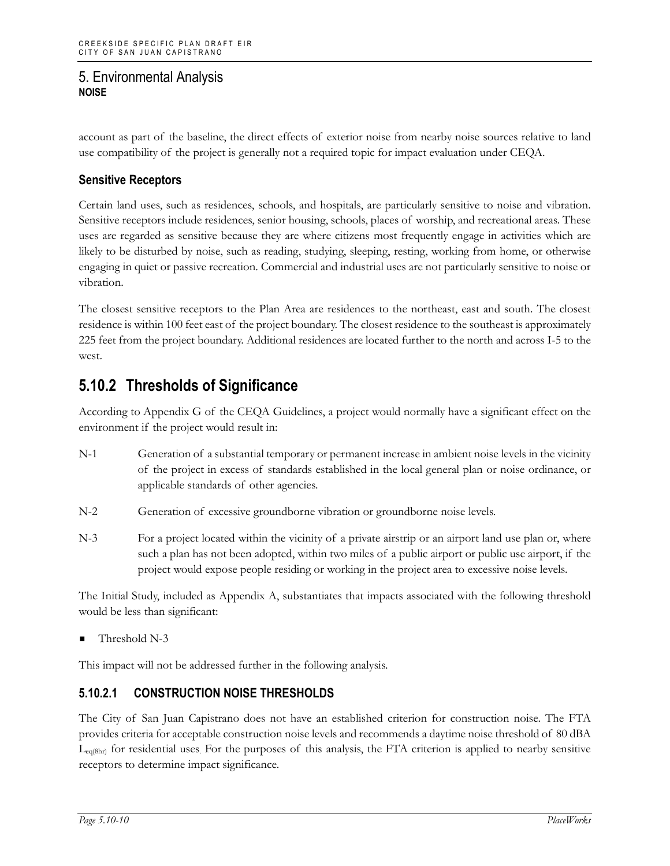account as part of the baseline, the direct effects of exterior noise from nearby noise sources relative to land use compatibility of the project is generally not a required topic for impact evaluation under CEQA.

### **Sensitive Receptors**

Certain land uses, such as residences, schools, and hospitals, are particularly sensitive to noise and vibration. Sensitive receptors include residences, senior housing, schools, places of worship, and recreational areas. These uses are regarded as sensitive because they are where citizens most frequently engage in activities which are likely to be disturbed by noise, such as reading, studying, sleeping, resting, working from home, or otherwise engaging in quiet or passive recreation. Commercial and industrial uses are not particularly sensitive to noise or vibration.

The closest sensitive receptors to the Plan Area are residences to the northeast, east and south. The closest residence is within 100 feet east of the project boundary. The closest residence to the southeast is approximately 225 feet from the project boundary. Additional residences are located further to the north and across I-5 to the west.

## **5.10.2 Thresholds of Significance**

According to Appendix G of the CEQA Guidelines, a project would normally have a significant effect on the environment if the project would result in:

- N-1 Generation of a substantial temporary or permanent increase in ambient noise levels in the vicinity of the project in excess of standards established in the local general plan or noise ordinance, or applicable standards of other agencies.
- N-2 Generation of excessive groundborne vibration or groundborne noise levels.
- N-3 For a project located within the vicinity of a private airstrip or an airport land use plan or, where such a plan has not been adopted, within two miles of a public airport or public use airport, if the project would expose people residing or working in the project area to excessive noise levels.

The Initial Study, included as Appendix A, substantiates that impacts associated with the following threshold would be less than significant:

Threshold N-3

This impact will not be addressed further in the following analysis.

## **5.10.2.1 CONSTRUCTION NOISE THRESHOLDS**

The City of San Juan Capistrano does not have an established criterion for construction noise. The FTA provides criteria for acceptable construction noise levels and recommends a daytime noise threshold of 80 dBA  $L_{eq(8hr)}$  for residential uses. For the purposes of this analysis, the FTA criterion is applied to nearby sensitive receptors to determine impact significance.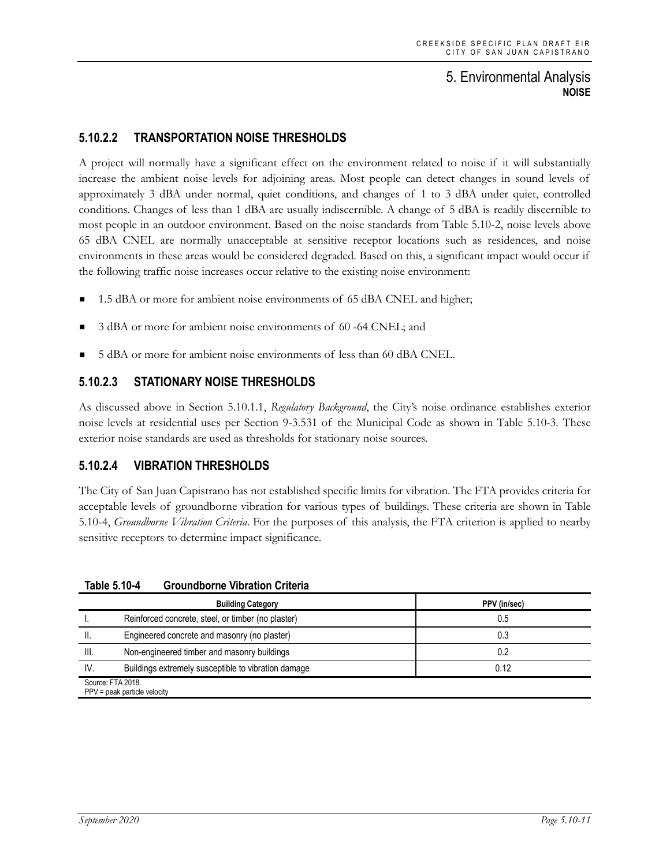### **5.10.2.2 TRANSPORTATION NOISE THRESHOLDS**

A project will normally have a significant effect on the environment related to noise if it will substantially increase the ambient noise levels for adjoining areas. Most people can detect changes in sound levels of approximately 3 dBA under normal, quiet conditions, and changes of 1 to 3 dBA under quiet, controlled conditions. Changes of less than 1 dBA are usually indiscernible. A change of 5 dBA is readily discernible to most people in an outdoor environment. Based on the noise standards from Table 5.10-2, noise levels above 65 dBA CNEL are normally unacceptable at sensitive receptor locations such as residences, and noise environments in these areas would be considered degraded. Based on this, a significant impact would occur if the following traffic noise increases occur relative to the existing noise environment:

- 1.5 dBA or more for ambient noise environments of 65 dBA CNEL and higher;
- 3 dBA or more for ambient noise environments of 60 -64 CNEL; and
- 5 dBA or more for ambient noise environments of less than 60 dBA CNEL.

#### **5.10.2.3 STATIONARY NOISE THRESHOLDS**

As discussed above in Section 5.10.1.1, *Regulatory Background*, the City's noise ordinance establishes exterior noise levels at residential uses per Section 9-3.531 of the Municipal Code as shown in Table 5.10-3. These exterior noise standards are used as thresholds for stationary noise sources.

#### **5.10.2.4 VIBRATION THRESHOLDS**

The City of San Juan Capistrano has not established specific limits for vibration. The FTA provides criteria for acceptable levels of groundborne vibration for various types of buildings. These criteria are shown in Table 5.10-4, *Groundborne Vibration Criteria*. For the purposes of this analysis, the FTA criterion is applied to nearby sensitive receptors to determine impact significance.

|                                                     | <b>Building Category</b>                                    | PPV (in/sec) |  |  |  |  |  |
|-----------------------------------------------------|-------------------------------------------------------------|--------------|--|--|--|--|--|
|                                                     | Reinforced concrete, steel, or timber (no plaster)          | 0.5          |  |  |  |  |  |
| II.                                                 | Engineered concrete and masonry (no plaster)                | 0.3          |  |  |  |  |  |
| III.                                                | Non-engineered timber and masonry buildings                 | 0.2          |  |  |  |  |  |
| IV.                                                 | Buildings extremely susceptible to vibration damage<br>0.12 |              |  |  |  |  |  |
| Source: FTA 2018.<br>$PPV = peak$ particle velocity |                                                             |              |  |  |  |  |  |

**Table 5.10-4 Groundborne Vibration Criteria**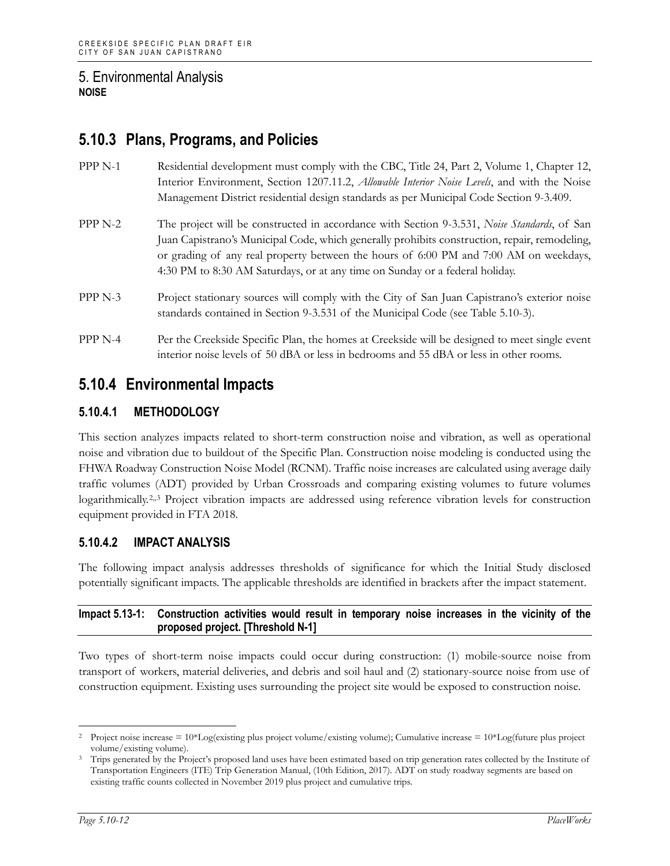## **5.10.3 Plans, Programs, and Policies**

- PPP N-1 Residential development must comply with the CBC, Title 24, Part 2, Volume 1, Chapter 12, Interior Environment, Section 1207.11.2, *Allowable Interior Noise Levels*, and with the Noise Management District residential design standards as per Municipal Code Section 9-3.409.
- PPP N-2 The project will be constructed in accordance with Section 9-3.531, *Noise Standards*, of San Juan Capistrano's Municipal Code, which generally prohibits construction, repair, remodeling, or grading of any real property between the hours of 6:00 PM and 7:00 AM on weekdays, 4:30 PM to 8:30 AM Saturdays, or at any time on Sunday or a federal holiday.
- PPP N-3 Project stationary sources will comply with the City of San Juan Capistrano's exterior noise standards contained in Section 9-3.531 of the Municipal Code (see Table 5.10-3).
- PPP N-4 Per the Creekside Specific Plan, the homes at Creekside will be designed to meet single event interior noise levels of 50 dBA or less in bedrooms and 55 dBA or less in other rooms.

## **5.10.4 Environmental Impacts**

## **5.10.4.1 METHODOLOGY**

This section analyzes impacts related to short-term construction noise and vibration, as well as operational noise and vibration due to buildout of the Specific Plan. Construction noise modeling is conducted using the FHWA Roadway Construction Noise Model (RCNM). Traffic noise increases are calculated using average daily traffic volumes (ADT) provided by Urban Crossroads and comparing existing volumes to future volumes logarithmically.<sup>[2,](#page-11-0),[3](#page-11-1)</sup> Project vibration impacts are addressed using reference vibration levels for construction equipment provided in FTA 2018.

#### **5.10.4.2 IMPACT ANALYSIS**

The following impact analysis addresses thresholds of significance for which the Initial Study disclosed potentially significant impacts. The applicable thresholds are identified in brackets after the impact statement.

#### **Impact 5.13-1: Construction activities would result in temporary noise increases in the vicinity of the proposed project. [Threshold N-1]**

Two types of short-term noise impacts could occur during construction: (1) mobile-source noise from transport of workers, material deliveries, and debris and soil haul and (2) stationary-source noise from use of construction equipment. Existing uses surrounding the project site would be exposed to construction noise.

<span id="page-11-0"></span>Project noise increase  $= 10*Log(existing plus project volume/existing volume); Cumulative increase =  $10*Log(fature plus project)$$ 

<span id="page-11-1"></span>volume/existing volume).<br><sup>3</sup> Trips generated by the Project's proposed land uses have been estimated based on trip generation rates collected by the Institute of Transportation Engineers (ITE) Trip Generation Manual, (10th Edition, 2017)*.* ADT on study roadway segments are based on existing traffic counts collected in November 2019 plus project and cumulative trips.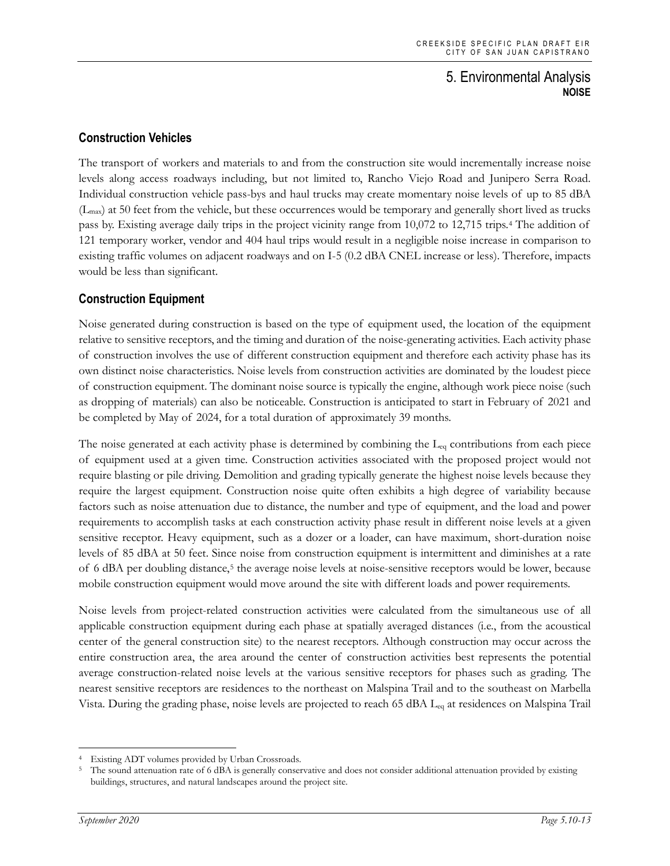#### **Construction Vehicles**

The transport of workers and materials to and from the construction site would incrementally increase noise levels along access roadways including, but not limited to, Rancho Viejo Road and Junipero Serra Road. Individual construction vehicle pass-bys and haul trucks may create momentary noise levels of up to 85 dBA (Lmax) at 50 feet from the vehicle, but these occurrences would be temporary and generally short lived as trucks pass by. Existing average daily trips in the project vicinity range from 10,072 to 12,715 trips.[4](#page-12-0) The addition of 121 temporary worker, vendor and 404 haul trips would result in a negligible noise increase in comparison to existing traffic volumes on adjacent roadways and on I-5 (0.2 dBA CNEL increase or less). Therefore, impacts would be less than significant.

#### **Construction Equipment**

Noise generated during construction is based on the type of equipment used, the location of the equipment relative to sensitive receptors, and the timing and duration of the noise-generating activities. Each activity phase of construction involves the use of different construction equipment and therefore each activity phase has its own distinct noise characteristics. Noise levels from construction activities are dominated by the loudest piece of construction equipment. The dominant noise source is typically the engine, although work piece noise (such as dropping of materials) can also be noticeable. Construction is anticipated to start in February of 2021 and be completed by May of 2024, for a total duration of approximately 39 months.

The noise generated at each activity phase is determined by combining the  $L_{eq}$  contributions from each piece of equipment used at a given time. Construction activities associated with the proposed project would not require blasting or pile driving. Demolition and grading typically generate the highest noise levels because they require the largest equipment. Construction noise quite often exhibits a high degree of variability because factors such as noise attenuation due to distance, the number and type of equipment, and the load and power requirements to accomplish tasks at each construction activity phase result in different noise levels at a given sensitive receptor. Heavy equipment, such as a dozer or a loader, can have maximum, short-duration noise levels of 85 dBA at 50 feet. Since noise from construction equipment is intermittent and diminishes at a rate of 6 dBA per doubling distance,<sup>[5](#page-12-1)</sup> the average noise levels at noise-sensitive receptors would be lower, because mobile construction equipment would move around the site with different loads and power requirements.

Noise levels from project-related construction activities were calculated from the simultaneous use of all applicable construction equipment during each phase at spatially averaged distances (i.e., from the acoustical center of the general construction site) to the nearest receptors. Although construction may occur across the entire construction area, the area around the center of construction activities best represents the potential average construction-related noise levels at the various sensitive receptors for phases such as grading. The nearest sensitive receptors are residences to the northeast on Malspina Trail and to the southeast on Marbella Vista. During the grading phase, noise levels are projected to reach 65 dBA Leq at residences on Malspina Trail

<span id="page-12-0"></span>Existing ADT volumes provided by Urban Crossroads.

<span id="page-12-1"></span>The sound attenuation rate of 6 dBA is generally conservative and does not consider additional attenuation provided by existing buildings, structures, and natural landscapes around the project site.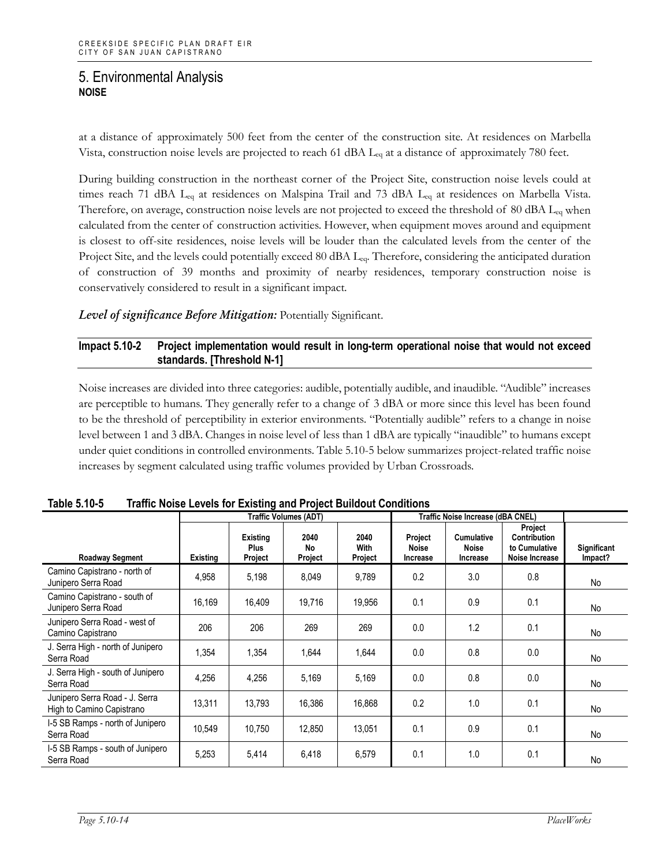at a distance of approximately 500 feet from the center of the construction site. At residences on Marbella Vista, construction noise levels are projected to reach 61 dBA Leq at a distance of approximately 780 feet.

During building construction in the northeast corner of the Project Site, construction noise levels could at times reach 71 dBA L<sub>eq</sub> at residences on Malspina Trail and 73 dBA L<sub>eq</sub> at residences on Marbella Vista. Therefore, on average, construction noise levels are not projected to exceed the threshold of 80 dBA Leq when calculated from the center of construction activities. However, when equipment moves around and equipment is closest to off-site residences, noise levels will be louder than the calculated levels from the center of the Project Site, and the levels could potentially exceed 80 dBA Leq. Therefore, considering the anticipated duration of construction of 39 months and proximity of nearby residences, temporary construction noise is conservatively considered to result in a significant impact.

*Level of significance Before Mitigation:* Potentially Significant.

#### **Impact 5.10-2 Project implementation would result in long-term operational noise that would not exceed standards. [Threshold N-1]**

Noise increases are divided into three categories: audible, potentially audible, and inaudible. "Audible" increases are perceptible to humans. They generally refer to a change of 3 dBA or more since this level has been found to be the threshold of perceptibility in exterior environments. "Potentially audible" refers to a change in noise level between 1 and 3 dBA. Changes in noise level of less than 1 dBA are typically "inaudible" to humans except under quiet conditions in controlled environments. Table 5.10-5 below summarizes project-related traffic noise increases by segment calculated using traffic volumes provided by Urban Crossroads.

|                                                             | <b>Traffic Volumes (ADT)</b> |                                           |                       |                                | Traffic Noise Increase (dBA CNEL) |                                               |                                                                   |                        |
|-------------------------------------------------------------|------------------------------|-------------------------------------------|-----------------------|--------------------------------|-----------------------------------|-----------------------------------------------|-------------------------------------------------------------------|------------------------|
| Roadway Segment                                             | Existing                     | <b>Existing</b><br><b>Plus</b><br>Project | 2040<br>No<br>Project | 2040<br><b>With</b><br>Project | Project<br>Noise<br>Increase      | <b>Cumulative</b><br><b>Noise</b><br>Increase | Project<br><b>Contribution</b><br>to Cumulative<br>Noise Increase | Significant<br>Impact? |
| Camino Capistrano - north of<br>Junipero Serra Road         | 4.958                        | 5,198                                     | 8,049                 | 9,789                          | 0.2                               | 3.0                                           | 0.8                                                               | No                     |
| Camino Capistrano - south of<br>Junipero Serra Road         | 16.169                       | 16,409                                    | 19,716                | 19,956                         | 0.1                               | 0.9                                           | 0.1                                                               | No                     |
| Junipero Serra Road - west of<br>Camino Capistrano          | 206                          | 206                                       | 269                   | 269                            | 0.0                               | 1.2                                           | 0.1                                                               | No                     |
| J. Serra High - north of Junipero<br>Serra Road             | 1,354                        | 1,354                                     | 1,644                 | 1,644                          | 0.0                               | 0.8                                           | 0.0                                                               | No                     |
| J. Serra High - south of Junipero<br>Serra Road             | 4,256                        | 4,256                                     | 5,169                 | 5,169                          | 0.0                               | 0.8                                           | 0.0                                                               | No                     |
| Junipero Serra Road - J. Serra<br>High to Camino Capistrano | 13,311                       | 13.793                                    | 16,386                | 16,868                         | 0.2                               | 1.0                                           | 0.1                                                               | No                     |
| I-5 SB Ramps - north of Junipero<br>Serra Road              | 10,549                       | 10,750                                    | 12,850                | 13,051                         | 0.1                               | 0.9                                           | 0.1                                                               | No                     |
| I-5 SB Ramps - south of Junipero<br>Serra Road              | 5,253                        | 5,414                                     | 6,418                 | 6,579                          | 0.1                               | 1.0                                           | 0.1                                                               | No                     |

| Table 5.10-5<br><b>Traffic Noise Levels for Existing and Project Buildout Conditions</b> |
|------------------------------------------------------------------------------------------|
|------------------------------------------------------------------------------------------|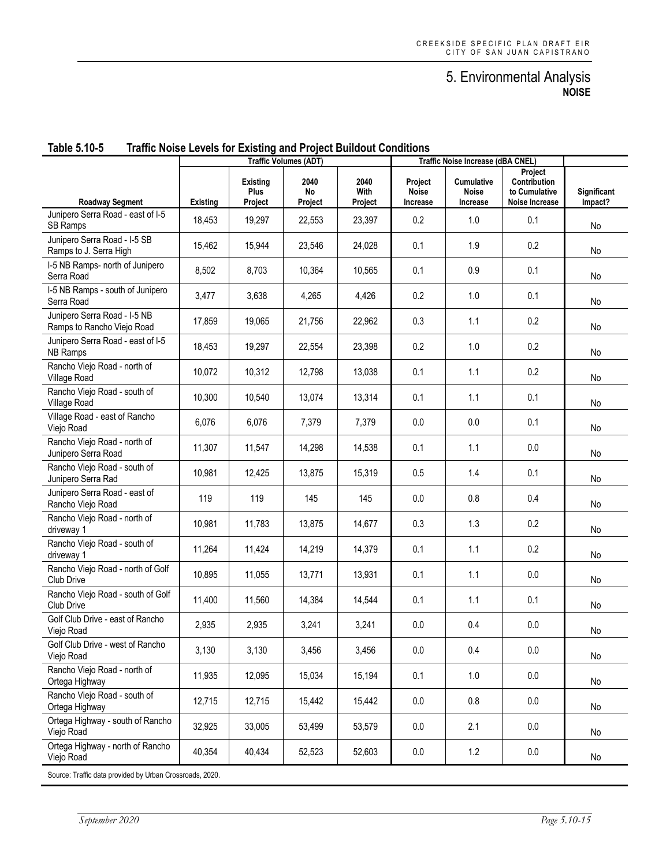#### **Table 5.10-5 Traffic Noise Levels for Existing and Project Buildout Conditions**

|                                                            | <b>Traffic Volumes (ADT)</b> |                             |                       |                         | Traffic Noise Increase (dBA CNEL) |                                               |                                                                   |                        |
|------------------------------------------------------------|------------------------------|-----------------------------|-----------------------|-------------------------|-----------------------------------|-----------------------------------------------|-------------------------------------------------------------------|------------------------|
| Roadway Segment                                            | <b>Existing</b>              | Existing<br>Plus<br>Project | 2040<br>No<br>Project | 2040<br>With<br>Project | Project<br>Noise<br>Increase      | <b>Cumulative</b><br><b>Noise</b><br>Increase | Project<br><b>Contribution</b><br>to Cumulative<br>Noise Increase | Significant<br>Impact? |
| Junipero Serra Road - east of I-5<br>SB Ramps              | 18,453                       | 19,297                      | 22,553                | 23,397                  | 0.2                               | 1.0                                           | 0.1                                                               | No                     |
| Junipero Serra Road - I-5 SB<br>Ramps to J. Serra High     | 15,462                       | 15,944                      | 23,546                | 24,028                  | 0.1                               | 1.9                                           | 0.2                                                               | No                     |
| I-5 NB Ramps- north of Junipero<br>Serra Road              | 8,502                        | 8,703                       | 10,364                | 10,565                  | 0.1                               | 0.9                                           | 0.1                                                               | No                     |
| I-5 NB Ramps - south of Junipero<br>Serra Road             | 3,477                        | 3,638                       | 4,265                 | 4,426                   | 0.2                               | 1.0                                           | 0.1                                                               | No                     |
| Junipero Serra Road - I-5 NB<br>Ramps to Rancho Viejo Road | 17,859                       | 19,065                      | 21,756                | 22,962                  | 0.3                               | 1.1                                           | 0.2                                                               | No                     |
| Junipero Serra Road - east of I-5<br><b>NB Ramps</b>       | 18,453                       | 19,297                      | 22,554                | 23,398                  | 0.2                               | 1.0                                           | 0.2                                                               | No                     |
| Rancho Viejo Road - north of<br>Village Road               | 10,072                       | 10,312                      | 12,798                | 13,038                  | 0.1                               | 1.1                                           | 0.2                                                               | No                     |
| Rancho Viejo Road - south of<br>Village Road               | 10,300                       | 10,540                      | 13,074                | 13,314                  | 0.1                               | 1.1                                           | 0.1                                                               | No                     |
| Village Road - east of Rancho<br>Viejo Road                | 6,076                        | 6,076                       | 7,379                 | 7,379                   | 0.0                               | 0.0                                           | 0.1                                                               | No                     |
| Rancho Viejo Road - north of<br>Junipero Serra Road        | 11,307                       | 11,547                      | 14,298                | 14,538                  | 0.1                               | 1.1                                           | 0.0                                                               | No                     |
| Rancho Viejo Road - south of<br>Junipero Serra Rad         | 10,981                       | 12,425                      | 13,875                | 15,319                  | 0.5                               | 1.4                                           | 0.1                                                               | No                     |
| Junipero Serra Road - east of<br>Rancho Viejo Road         | 119                          | 119                         | 145                   | 145                     | 0.0                               | 0.8                                           | 0.4                                                               | No                     |
| Rancho Viejo Road - north of<br>driveway 1                 | 10,981                       | 11,783                      | 13,875                | 14,677                  | 0.3                               | 1.3                                           | 0.2                                                               | No                     |
| Rancho Viejo Road - south of<br>driveway 1                 | 11,264                       | 11,424                      | 14,219                | 14,379                  | 0.1                               | 1.1                                           | 0.2                                                               | No                     |
| Rancho Viejo Road - north of Golf<br>Club Drive            | 10,895                       | 11,055                      | 13,771                | 13,931                  | 0.1                               | 1.1                                           | 0.0                                                               | No                     |
| Rancho Viejo Road - south of Golf<br>Club Drive            | 11,400                       | 11,560                      | 14,384                | 14,544                  | 0.1                               | 1.1                                           | 0.1                                                               | No                     |
| Golf Club Drive - east of Rancho<br>Viejo Road             | 2,935                        | 2,935                       | 3,241                 | 3,241                   | 0.0                               | 0.4                                           | 0.0                                                               | No                     |
| Golf Club Drive - west of Rancho<br>Viejo Road             | 3,130                        | 3,130                       | 3,456                 | 3,456                   | 0.0                               | 0.4                                           | 0.0                                                               | No                     |
| Rancho Viejo Road - north of<br>Ortega Highway             | 11,935                       | 12,095                      | 15,034                | 15,194                  | 0.1                               | 1.0                                           | $0.0\,$                                                           | No                     |
| Rancho Viejo Road - south of<br>Ortega Highway             | 12,715                       | 12,715                      | 15,442                | 15,442                  | 0.0                               | 0.8                                           | $0.0\,$                                                           | No                     |
| Ortega Highway - south of Rancho<br>Viejo Road             | 32,925                       | 33,005                      | 53,499                | 53,579                  | 0.0                               | 2.1                                           | $0.0\,$                                                           | No                     |
| Ortega Highway - north of Rancho<br>Viejo Road             | 40,354                       | 40,434                      | 52,523                | 52,603                  | 0.0                               | 1.2                                           | $0.0\,$                                                           | No                     |
| Source: Traffic data provided by Urban Crossroads, 2020.   |                              |                             |                       |                         |                                   |                                               |                                                                   |                        |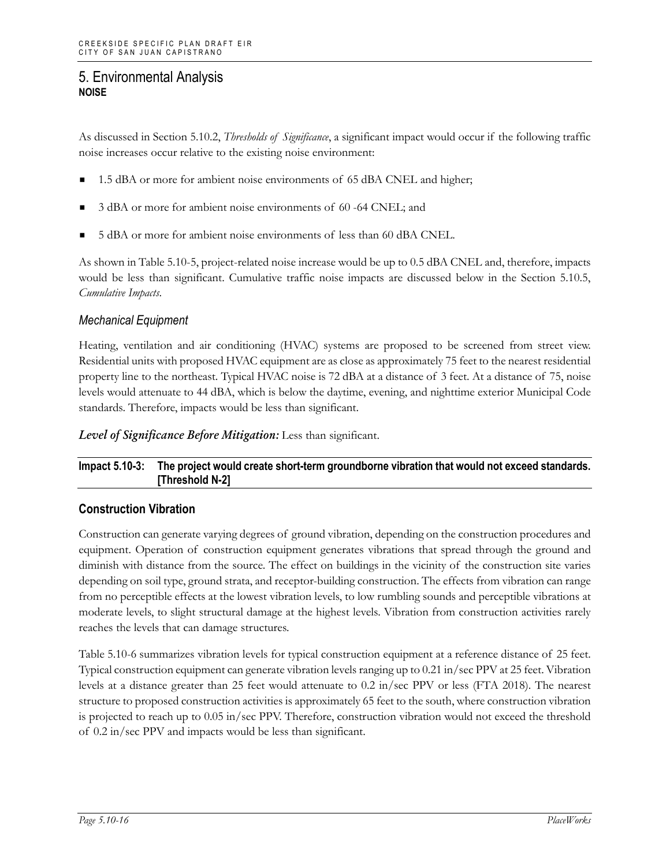As discussed in Section 5.10.2, *Thresholds of Significance*, a significant impact would occur if the following traffic noise increases occur relative to the existing noise environment:

- 1.5 dBA or more for ambient noise environments of 65 dBA CNEL and higher;
- 3 dBA or more for ambient noise environments of 60 -64 CNEL; and
- 5 dBA or more for ambient noise environments of less than 60 dBA CNEL.

As shown in Table 5.10-5, project-related noise increase would be up to 0.5 dBA CNEL and, therefore, impacts would be less than significant. Cumulative traffic noise impacts are discussed below in the Section 5.10.5, *Cumulative Impacts*.

#### *Mechanical Equipment*

Heating, ventilation and air conditioning (HVAC) systems are proposed to be screened from street view. Residential units with proposed HVAC equipment are as close as approximately 75 feet to the nearest residential property line to the northeast. Typical HVAC noise is 72 dBA at a distance of 3 feet. At a distance of 75, noise levels would attenuate to 44 dBA, which is below the daytime, evening, and nighttime exterior Municipal Code standards. Therefore, impacts would be less than significant.

*Level of Significance Before Mitigation:* Less than significant.

**Impact 5.10-3: The project would create short-term groundborne vibration that would not exceed standards. [Threshold N-2]**

#### **Construction Vibration**

Construction can generate varying degrees of ground vibration, depending on the construction procedures and equipment. Operation of construction equipment generates vibrations that spread through the ground and diminish with distance from the source. The effect on buildings in the vicinity of the construction site varies depending on soil type, ground strata, and receptor-building construction. The effects from vibration can range from no perceptible effects at the lowest vibration levels, to low rumbling sounds and perceptible vibrations at moderate levels, to slight structural damage at the highest levels. Vibration from construction activities rarely reaches the levels that can damage structures.

Table 5.10-6 summarizes vibration levels for typical construction equipment at a reference distance of 25 feet. Typical construction equipment can generate vibration levels ranging up to 0.21 in/sec PPV at 25 feet. Vibration levels at a distance greater than 25 feet would attenuate to 0.2 in/sec PPV or less (FTA 2018). The nearest structure to proposed construction activities is approximately 65 feet to the south, where construction vibration is projected to reach up to 0.05 in/sec PPV. Therefore, construction vibration would not exceed the threshold of 0.2 in/sec PPV and impacts would be less than significant.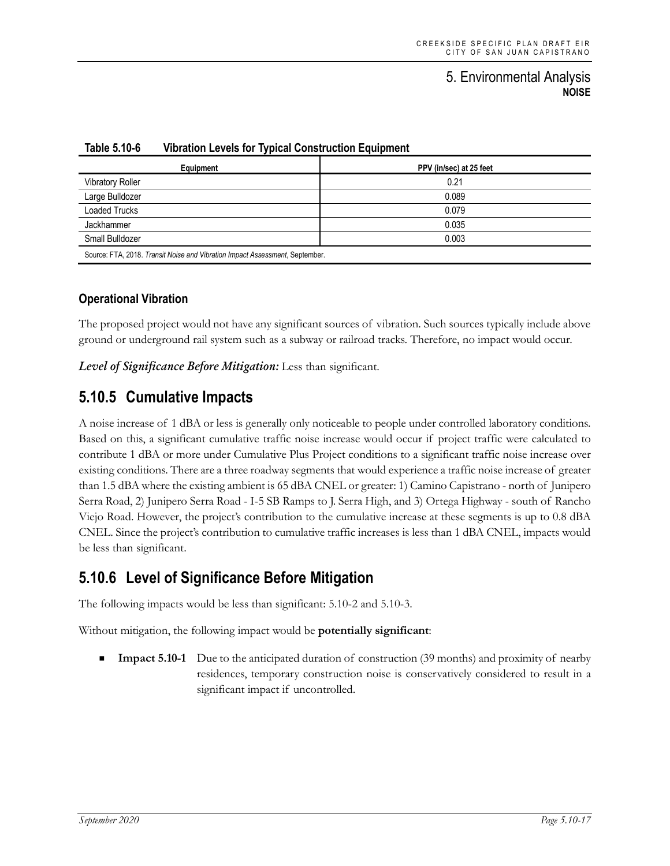| Equipment                                                                    | PPV (in/sec) at 25 feet |  |  |  |
|------------------------------------------------------------------------------|-------------------------|--|--|--|
| <b>Vibratory Roller</b>                                                      | 0.21                    |  |  |  |
| Large Bulldozer                                                              | 0.089                   |  |  |  |
| <b>Loaded Trucks</b>                                                         | 0.079                   |  |  |  |
| Jackhammer                                                                   | 0.035                   |  |  |  |
| 0.003<br>Small Bulldozer                                                     |                         |  |  |  |
| Source: FTA, 2018. Transit Noise and Vibration Impact Assessment, September. |                         |  |  |  |

**Table 5.10-6 Vibration Levels for Typical Construction Equipment**

#### **Operational Vibration**

The proposed project would not have any significant sources of vibration. Such sources typically include above ground or underground rail system such as a subway or railroad tracks. Therefore, no impact would occur.

*Level of Significance Before Mitigation:* Less than significant.

## **5.10.5 Cumulative Impacts**

A noise increase of 1 dBA or less is generally only noticeable to people under controlled laboratory conditions. Based on this, a significant cumulative traffic noise increase would occur if project traffic were calculated to contribute 1 dBA or more under Cumulative Plus Project conditions to a significant traffic noise increase over existing conditions. There are a three roadway segments that would experience a traffic noise increase of greater than 1.5 dBA where the existing ambient is 65 dBA CNEL or greater: 1) Camino Capistrano - north of Junipero Serra Road, 2) Junipero Serra Road - I-5 SB Ramps to J. Serra High, and 3) Ortega Highway - south of Rancho Viejo Road. However, the project's contribution to the cumulative increase at these segments is up to 0.8 dBA CNEL. Since the project's contribution to cumulative traffic increases is less than 1 dBA CNEL, impacts would be less than significant.

## **5.10.6 Level of Significance Before Mitigation**

The following impacts would be less than significant: 5.10-2 and 5.10-3.

Without mitigation, the following impact would be **potentially significant**:

**Impact 5.10-1** Due to the anticipated duration of construction (39 months) and proximity of nearby residences, temporary construction noise is conservatively considered to result in a significant impact if uncontrolled.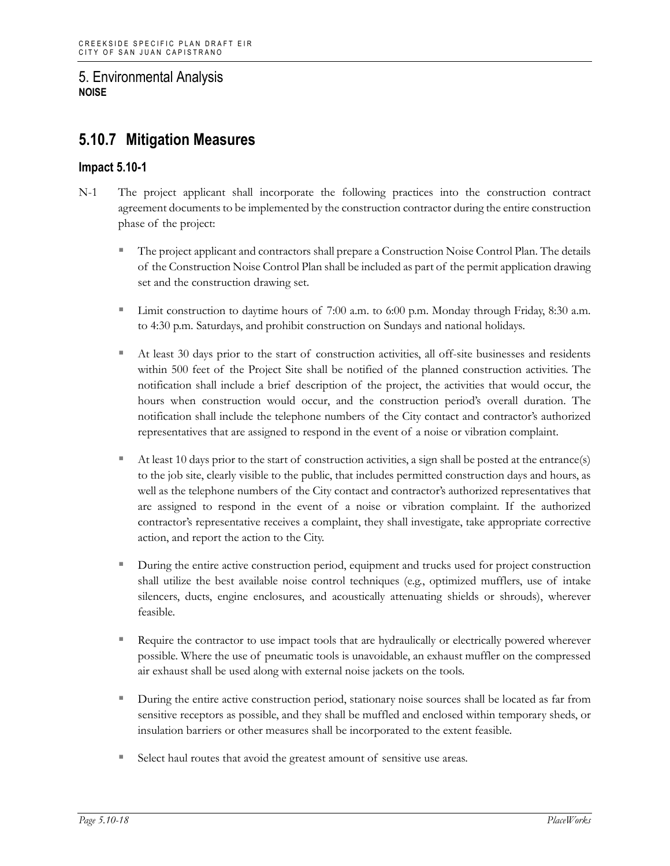## **5.10.7 Mitigation Measures**

#### **Impact 5.10-1**

- N-1 The project applicant shall incorporate the following practices into the construction contract agreement documents to be implemented by the construction contractor during the entire construction phase of the project:
	- The project applicant and contractors shall prepare a Construction Noise Control Plan. The details of the Construction Noise Control Plan shall be included as part of the permit application drawing set and the construction drawing set.
	- Limit construction to daytime hours of 7:00 a.m. to 6:00 p.m. Monday through Friday, 8:30 a.m. to 4:30 p.m. Saturdays, and prohibit construction on Sundays and national holidays.
	- At least 30 days prior to the start of construction activities, all off-site businesses and residents within 500 feet of the Project Site shall be notified of the planned construction activities. The notification shall include a brief description of the project, the activities that would occur, the hours when construction would occur, and the construction period's overall duration. The notification shall include the telephone numbers of the City contact and contractor's authorized representatives that are assigned to respond in the event of a noise or vibration complaint.
	- At least 10 days prior to the start of construction activities, a sign shall be posted at the entrance(s) to the job site, clearly visible to the public, that includes permitted construction days and hours, as well as the telephone numbers of the City contact and contractor's authorized representatives that are assigned to respond in the event of a noise or vibration complaint. If the authorized contractor's representative receives a complaint, they shall investigate, take appropriate corrective action, and report the action to the City.
	- During the entire active construction period, equipment and trucks used for project construction shall utilize the best available noise control techniques (e.g., optimized mufflers, use of intake silencers, ducts, engine enclosures, and acoustically attenuating shields or shrouds), wherever feasible.
	- Require the contractor to use impact tools that are hydraulically or electrically powered wherever possible. Where the use of pneumatic tools is unavoidable, an exhaust muffler on the compressed air exhaust shall be used along with external noise jackets on the tools.
	- **During the entire active construction period, stationary noise sources shall be located as far from** sensitive receptors as possible, and they shall be muffled and enclosed within temporary sheds, or insulation barriers or other measures shall be incorporated to the extent feasible.
	- Select haul routes that avoid the greatest amount of sensitive use areas.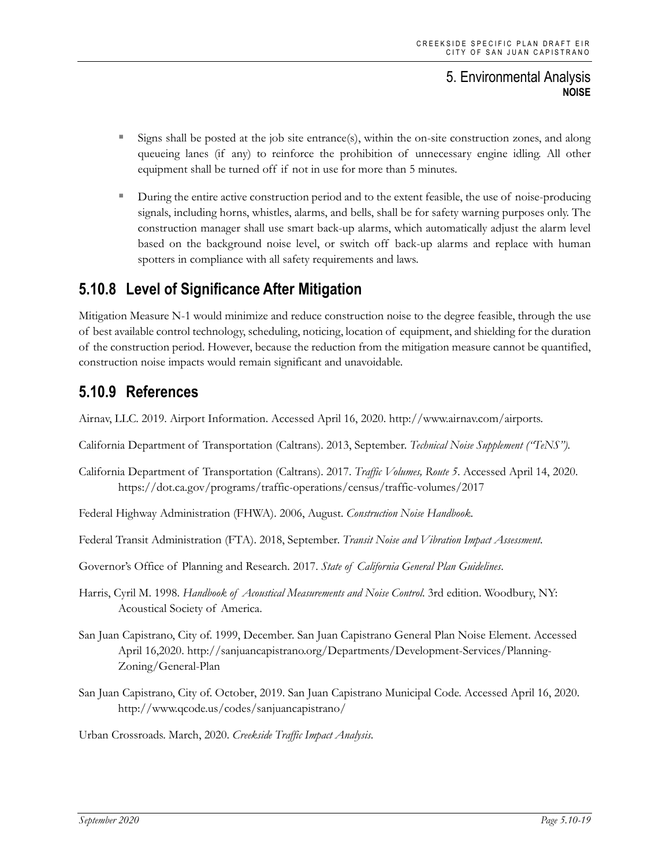- $\blacksquare$  Signs shall be posted at the job site entrance(s), within the on-site construction zones, and along queueing lanes (if any) to reinforce the prohibition of unnecessary engine idling. All other equipment shall be turned off if not in use for more than 5 minutes.
- During the entire active construction period and to the extent feasible, the use of noise-producing signals, including horns, whistles, alarms, and bells, shall be for safety warning purposes only. The construction manager shall use smart back-up alarms, which automatically adjust the alarm level based on the background noise level, or switch off back-up alarms and replace with human spotters in compliance with all safety requirements and laws.

## **5.10.8 Level of Significance After Mitigation**

Mitigation Measure N-1 would minimize and reduce construction noise to the degree feasible, through the use of best available control technology, scheduling, noticing, location of equipment, and shielding for the duration of the construction period. However, because the reduction from the mitigation measure cannot be quantified, construction noise impacts would remain significant and unavoidable.

# **5.10.9 References**

Airnav, LLC. 2019. Airport Information. Accessed April 16, 2020. http://www.airnav.com/airports.

- California Department of Transportation (Caltrans). 2013, September. *Technical Noise Supplement ("TeNS")*.
- California Department of Transportation (Caltrans). 2017. *Traffic Volumes, Route 5*. Accessed April 14, 2020. https://dot.ca.gov/programs/traffic-operations/census/traffic-volumes/2017
- Federal Highway Administration (FHWA). 2006, August. *Construction Noise Handbook*.
- Federal Transit Administration (FTA). 2018, September. *Transit Noise and Vibration Impact Assessment*.
- Governor's Office of Planning and Research. 2017. *State of California General Plan Guidelines*.
- Harris, Cyril M. 1998. *Handbook of Acoustical Measurements and Noise Control*. 3rd edition. Woodbury, NY: Acoustical Society of America.
- San Juan Capistrano, City of. 1999, December. San Juan Capistrano General Plan Noise Element. Accessed April 16,2020. http://sanjuancapistrano.org/Departments/Development-Services/Planning-Zoning/General-Plan
- San Juan Capistrano, City of. October, 2019. San Juan Capistrano Municipal Code. Accessed April 16, 2020. http://www.qcode.us/codes/sanjuancapistrano/

Urban Crossroads. March, 2020. *Creekside Traffic Impact Analysis*.